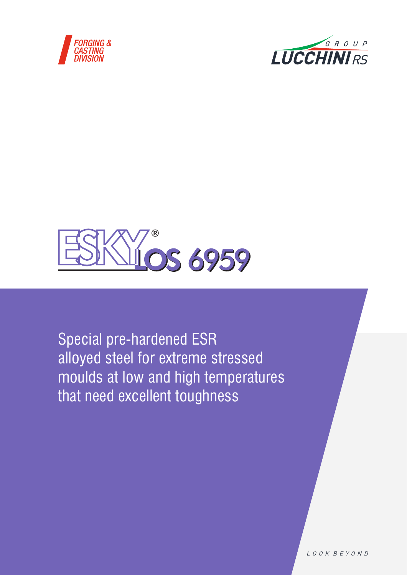





Special pre-hardened ESR alloyed steel for extreme stressed moulds at low and high temperatures that need excellent toughness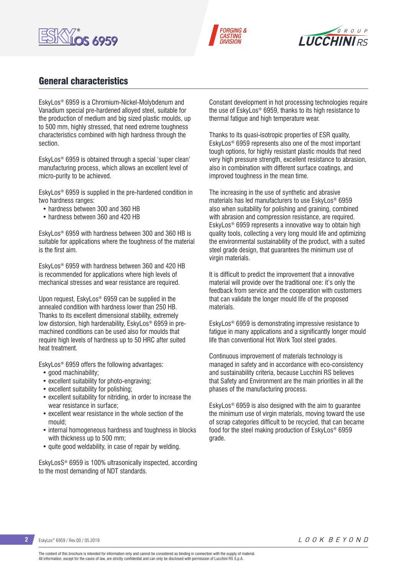





# General characteristics

EskyLos® 6959 is a Chromium-Nickel-Molybdenum and Vanadium special pre-hardened alloyed steel, suitable for the production of medium and big sized plastic moulds, up to 500 mm, highly stressed, that need extreme toughness characteristics combined with high hardness through the section.

EskyLos® 6959 is obtained through a special 'super clean' manufacturing process, which allows an excellent level of micro-purity to be achieved.

EskyLos® 6959 is supplied in the pre-hardened condition in two hardness ranges:

- hardness between 300 and 360 HB
- hardness between 360 and 420 HB

EskyLos® 6959 with hardness between 300 and 360 HB is suitable for applications where the toughness of the material is the first aim.

EskyLos® 6959 with hardness between 360 and 420 HB is recommended for applications where high levels of mechanical stresses and wear resistance are required.

Upon request, EskyLos® 6959 can be supplied in the annealed condition with hardness lower than 250 HB. Thanks to its excellent dimensional stability, extremely low distorsion, high hardenability, EskyLos® 6959 in premachined conditions can be used also for moulds that require high levels of hardness up to 50 HRC after suited heat treatment.

EskyLos® 6959 offers the following advantages:

- good machinability;
- excellent suitability for photo-engraving;
- excellent suitability for polishing;
- excellent suitability for nitriding, in order to increase the wear resistance in surface;
- excellent wear resistance in the whole section of the mould;
- internal homogeneous hardness and toughness in blocks with thickness up to 500 mm;
- quite good weldability, in case of repair by welding.

EskyLosS® 6959 is 100% ultrasonically inspected, according to the most demanding of NDT standards.

Constant development in hot processing technologies require the use of EskyLos® 6959, thanks to its high resistance to thermal fatigue and high temperature wear.

Thanks to its quasi-isotropic properties of ESR quality, EskyLos® 6959 represents also one of the most important tough options, for highly resistant plastic moulds that need very high pressure strength, excellent resistance to abrasion, also in combination with different surface coatings, and improved toughness in the mean time.

The increasing in the use of synthetic and abrasive materials has led manufacturers to use EskyLos® 6959 also when suitability for polishing and graining, combined with abrasion and compression resistance, are required. EskyLos® 6959 represents a innovative way to obtain high quality tools, collecting a very long mould life and optimizing the environmental sustainability of the product, with a suited steel grade design, that guarantees the minimum use of virgin materials.

It is difficult to predict the improvement that a innovative material will provide over the traditional one: it's only the feedback from service and the cooperation with customers that can validate the longer mould life of the proposed materials.

EskyLos® 6959 is demonstrating impressive resistance to fatigue in many applications and a significantly longer mould life than conventional Hot Work Tool steel grades.

Continuous improvement of materials technology is managed in safety and in accordance with eco-consistency and sustainability criteria, because Lucchini RS believes that Safety and Environment are the main priorities in all the phases of the manufacturing process.

EskyLos® 6959 is also designed with the aim to guarantee the minimum use of virgin materials, moving toward the use of scrap categories difficult to be recycled, that can became food for the steel making production of EskyLos® 6959 grade.

**2** EskyLos® 6959 / Rev.00 / 05.2019

The content of this brochure is intended for information only and cannot be considered as binding in connection with the supply of material. All information, except for the cases of law, are strictly confidential and can only be disclosed with permission of Lucchini RS S.p.A.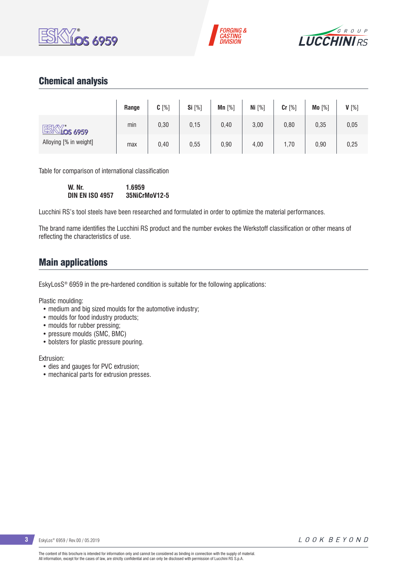





# Chemical analysis

|                           | Range | $C[\%]$ | <b>Si</b> [%] | Mn $[%]$ | Ni $[%]$ | Cr [%] | $Mo[\%]$ | $V[\%]$ |
|---------------------------|-------|---------|---------------|----------|----------|--------|----------|---------|
| ESKY.<br><u>Níos 6959</u> | min   | 0,30    | 0, 15         | 0,40     | 3,00     | 0,80   | 0,35     | 0,05    |
| Alloying [% in weight]    | max   | 0,40    | 0,55          | 0,90     | 4,00     | 1,70   | 0,90     | 0,25    |

Table for comparison of international classification

**W. Nr. 1.6959 DIN EN ISO 4957 35NiCrMoV12-5**

Lucchini RS's tool steels have been researched and formulated in order to optimize the material performances.

The brand name identifies the Lucchini RS product and the number evokes the Werkstoff classification or other means of reflecting the characteristics of use.

## Main applications

EskyLosS® 6959 in the pre-hardened condition is suitable for the following applications:

Plastic moulding:

- medium and big sized moulds for the automotive industry;
- moulds for food industry products;
- moulds for rubber pressing:
- pressure moulds (SMC, BMC)
- bolsters for plastic pressure pouring.

Extrusion:

- dies and gauges for PVC extrusion;
- mechanical parts for extrusion presses.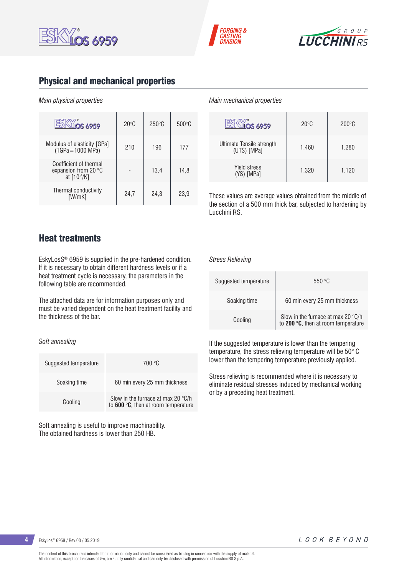





# Physical and mechanical properties

#### *Main physical properties*

| <b>OS 6959</b>                                                              | $20^{\circ}$ C | $250^{\circ}$ C | $500^{\circ}$ C |
|-----------------------------------------------------------------------------|----------------|-----------------|-----------------|
| Modulus of elasticity [GPa]<br>$(1GPa = 1000 MPa)$                          | 210            | 196             | 177             |
| Coefficient of thermal<br>expansion from 20 $\degree$ C<br>at $[10^{-6}/K]$ |                | 13,4            | 14,8            |
| Thermal conductivity<br>[W/mK]                                              | 24,7           | 24,3            | 23.9            |

#### *Main mechanical properties*

| <b>OS 6959</b>                           | $20^{\circ}$ C | $200^{\circ}$ C |
|------------------------------------------|----------------|-----------------|
| Ultimate Tensile strength<br>(UTS) [MPa] | 1.460          | 1.280           |
| <b>Yield stress</b><br>(YS) [MPa]        | 1.320          | 1.120           |

These values are average values obtained from the middle of the section of a 500 mm thick bar, subjected to hardening by Lucchini RS.

## Heat treatments

EskyLosS® 6959 is supplied in the pre-hardened condition. If it is necessary to obtain different hardness levels or if a heat treatment cycle is necessary, the parameters in the following table are recommended.

The attached data are for information purposes only and must be varied dependent on the heat treatment facility and the thickness of the bar.

#### *Soft annealing*

| Suggested temperature | 700 °C                                                                    |
|-----------------------|---------------------------------------------------------------------------|
| Soaking time          | 60 min every 25 mm thickness                                              |
| Cooling               | Slow in the furnace at max 20 °C/h<br>to 600 °C, then at room temperature |

Soft annealing is useful to improve machinability. The obtained hardness is lower than 250 HB.

#### *Stress Relieving*

| Suggested temperature | 550 $\degree$ C                                                                    |
|-----------------------|------------------------------------------------------------------------------------|
| Soaking time          | 60 min every 25 mm thickness                                                       |
| Cooling               | Slow in the furnace at max 20 $\degree$ C/h<br>to 200 °C, then at room temperature |

If the suggested temperature is lower than the tempering temperature, the stress relieving temperature will be 50° C lower than the tempering temperature previously applied.

Stress relieving is recommended where it is necessary to eliminate residual stresses induced by mechanical working or by a preceding heat treatment.

**4** EskyLos® 6959 / Rev.00 / 05.2019

LOOK BEYOND

The content of this brochure is intended for information only and cannot be considered as binding in connection with the supply of material. All information, except for the cases of law, are strictly confidential and can only be disclosed with permission of Lucchini RS S.p.A.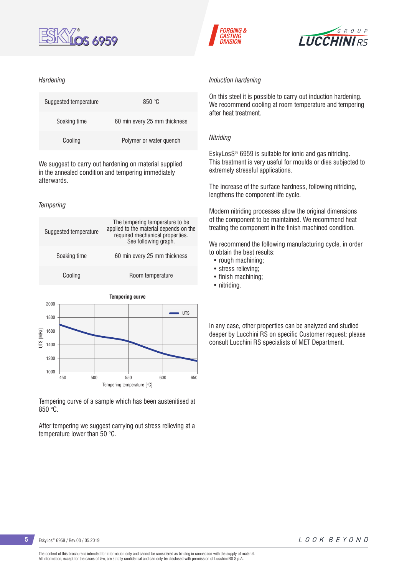

#### *Hardening*

| Suggested temperature | 850 °C                       |
|-----------------------|------------------------------|
| Soaking time          | 60 min every 25 mm thickness |
| Cooling               | Polymer or water quench      |

We suggest to carry out hardening on material supplied in the annealed condition and tempering immediately afterwards.

#### *Tempering*





Tempering curve of a sample which has been austenitised at 850 °C.

After tempering we suggest carrying out stress relieving at a temperature lower than 50 °C.





#### *Induction hardening*

On this steel it is possible to carry out induction hardening. We recommend cooling at room temperature and tempering after heat treatment.

#### *Nitriding*

EskyLosS® 6959 is suitable for ionic and gas nitriding. This treatment is very useful for moulds or dies subjected to extremely stressful applications.

The increase of the surface hardness, following nitriding, lengthens the component life cycle.

Modern nitriding processes allow the original dimensions of the component to be maintained. We recommend heat treating the component in the finish machined condition.

We recommend the following manufacturing cycle, in order to obtain the best results:

- rough machining;
- stress relieving;
- finish machining;
- nitriding.

In any case, other properties can be analyzed and studied deeper by Lucchini RS on specific Customer request: please consult Lucchini RS specialists of MET Department.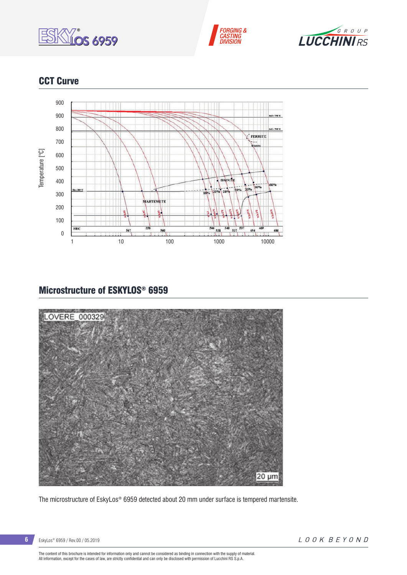





# **CCT Curve**



# Microstructure of ESKYLOS® 6959



The microstructure of EskyLos® 6959 detected about 20 mm under surface is tempered martensite.

The content of this brochure is intended for information only and cannot be considered as binding in connection with the supply of material.<br>All information, except for the cases of law, are strictly confidential and can o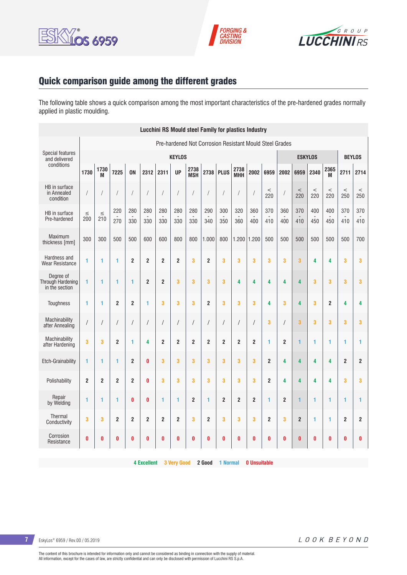





# Quick comparison guide among the different grades

The following table shows a quick comparison among the most important characteristics of the pre-hardened grades normally applied in plastic moulding.

|                                                         | <b>Lucchini RS Mould steel Family for plastics Industry</b> |                         |                |                         |                |                         |                |                         |                         |                |                    |                |                         |                |                         |               |                |                |                         |
|---------------------------------------------------------|-------------------------------------------------------------|-------------------------|----------------|-------------------------|----------------|-------------------------|----------------|-------------------------|-------------------------|----------------|--------------------|----------------|-------------------------|----------------|-------------------------|---------------|----------------|----------------|-------------------------|
| Pre-hardened Not Corrosion Resistant Mould Steel Grades |                                                             |                         |                |                         |                |                         |                |                         |                         |                |                    |                |                         |                |                         |               |                |                |                         |
| <b>Special features</b><br>and delivered                |                                                             | <b>KEYLOS</b>           |                |                         |                |                         |                |                         |                         |                |                    | <b>ESKYLOS</b> |                         |                |                         | <b>BEYLOS</b> |                |                |                         |
| conditions                                              | 1730                                                        | 1730<br>M               | 7225           | <b>ON</b>               | 2312           | 2311                    | <b>UP</b>      | 2738<br><b>MSH</b>      | 2738                    | <b>PLUS</b>    | 2738<br><b>MHH</b> | 2002           | 6959                    | 2002           | 6959                    | 2340          | 2365<br>M      | 2711           | 2714                    |
| HB in surface<br>in Annealed<br>condition               | /                                                           | $\sqrt{2}$              |                | 1                       | $\prime$       | $\sqrt{2}$              | $\bigg)$       |                         | $\sqrt{2}$              |                | $\sqrt{2}$         |                | $\,<$<br>220            |                | $\,<$<br>220            | $\,<$<br>220  | $\,<$<br>220   | $\,<$<br>250   | $\,<$<br>250            |
| HB in surface<br>Pre-hardened                           | $\leq$<br>200                                               | $\leq$<br>210           | 220<br>270     | 280<br>330              | 280<br>330     | 280<br>330              | 280<br>330     | 280<br>330              | 290<br>340              | 300<br>350     | 320<br>360         | 360<br>400     | 370<br>410              | 360<br>400     | 370<br>410              | 400<br>450    | 400<br>450     | 370<br>410     | 370<br>410              |
| Maximum<br>thickness [mm]                               | 300                                                         | 300                     | 500            | 500                     | 600            | 600                     | 800            | 800                     | 1.000                   | 800            | 1.200              | 1.200          | 500                     | 500            | 500                     | 500           | 500            | 500            | 700                     |
| Hardness and<br><b>Wear Resistance</b>                  | 1                                                           | 1                       | 1              | $\overline{2}$          | $\overline{2}$ | $\overline{2}$          | $\overline{2}$ | 3                       | $\overline{2}$          | 3              | 3                  | 3              | 3                       | 3              | 3                       | 4             | 4              | 3              | 3                       |
| Degree of<br><b>Through Hardening</b><br>in the section | 1                                                           | 1                       | 1              | 1                       | $\overline{2}$ | $\overline{2}$          | 3              | 3                       | 3                       | 3              | 4                  | 4              | 4                       | 4              | $\overline{\mathbf{4}}$ | 3             | 3              | 3              | 3                       |
| Toughness                                               | 1                                                           | 1                       | $\overline{2}$ | $\overline{2}$          | 1              | 3                       | 3              | 3                       | $\overline{2}$          | 3              | 3                  | 3              | 4                       | 3              | 4                       | 3             | $\overline{2}$ | 4              | 4                       |
| Machinability<br>after Annealing                        | $\sqrt{2}$                                                  | $\sqrt{\phantom{a}}$    |                | $\sqrt{2}$              | $\sqrt{2}$     | $\sqrt{\phantom{a}}$    | $\sqrt{ }$     | $\sqrt{2}$              | $\sqrt{2}$              | $\overline{1}$ | $\sqrt{2}$         | $\prime$       | 3                       | $\sqrt{2}$     | 3                       | 3             | 3              | 3              | 3                       |
| Machinability<br>after Hardening                        | 3                                                           | 3                       | $\overline{2}$ | 1                       | $\overline{4}$ | $\overline{2}$          | $\overline{2}$ | $\overline{2}$          | $\overline{2}$          | $\overline{2}$ | $\overline{2}$     | $\overline{2}$ | 1                       | $\overline{2}$ | 1                       | 1             | 1              | 1              | 1                       |
| <b>Etch-Grainability</b>                                | 1                                                           | $\blacksquare$          | 1              | $\overline{2}$          | $\bf{0}$       | 3                       | 3              | 3                       | $\overline{\mathbf{3}}$ | 3              | 3                  | 3              | $\overline{2}$          | 4              | 4                       | 4             | 4              | $\overline{2}$ | $\overline{2}$          |
| Polishability                                           | $\boldsymbol{2}$                                            | $\mathbf 2$             | $\overline{2}$ | $\overline{\mathbf{c}}$ | $\mathbf{0}$   | 3                       | 3              | 3                       | 3                       | 3              | 3                  | 3              | $\overline{\mathbf{c}}$ | 4              | 4                       | 4             | 4              | 3              | 3                       |
| Repair<br>by Welding                                    | 1                                                           | 1                       | 1              | $\bf{0}$                | $\bf{0}$       | $\mathbf{1}$            | 1              | $\overline{\mathbf{c}}$ | $\mathbf{1}$            | $\overline{2}$ | $\overline{2}$     | $\overline{2}$ | $\mathbf{1}$            | $\overline{2}$ | 1                       | 1             | 1              | 1              | 1                       |
| Thermal<br>Conductivity                                 | 3                                                           | $\overline{\mathbf{3}}$ | $\overline{2}$ | $\overline{2}$          | $\overline{2}$ | $\overline{\mathbf{c}}$ | $\overline{2}$ | 3                       | $\overline{2}$          | 3              | 3                  | 3              | $\overline{2}$          | 3              | $\overline{2}$          | 1             | 1              | $\overline{2}$ | $\overline{\mathbf{c}}$ |
| Corrosion<br>Resistance                                 | $\bf{0}$                                                    | 0                       | 0              | 0                       | $\bf{0}$       | $\bf{0}$                | $\bf{0}$       | 0                       | 0                       | 0              | 0                  | 0              | 0                       | 0              | $\bf{0}$                | $\bf{0}$      | 0              | 0              | 0                       |

**4 Excellent 3 Very Good 2 Good 1 Normal 0 Unsuitable**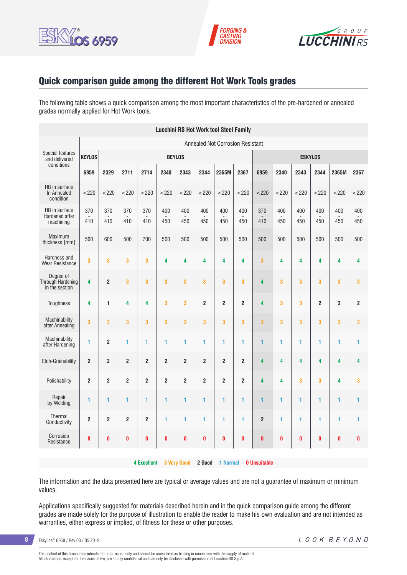





## Quick comparison guide among the different Hot Work Tools grades

The following table shows a quick comparison among the most important characteristics of the pre-hardened or annealed grades normally applied for Hot Work tools.

|                                                  | <b>Lucchini RS Hot Work tool Steel Family</b> |                         |                |                    |                |                         |                |                 |                |                     |            |                         |                |                |                         |
|--------------------------------------------------|-----------------------------------------------|-------------------------|----------------|--------------------|----------------|-------------------------|----------------|-----------------|----------------|---------------------|------------|-------------------------|----------------|----------------|-------------------------|
| Annealed Not Corrosion Resistant                 |                                               |                         |                |                    |                |                         |                |                 |                |                     |            |                         |                |                |                         |
| <b>Special features</b><br>and delivered         | <b>KEYLOS</b>                                 | <b>BEYLOS</b>           |                |                    |                |                         |                |                 | <b>ESKYLOS</b> |                     |            |                         |                |                |                         |
| conditions                                       | 6959                                          | 2329                    | 2711           | 2714               | 2340           | 2343                    | 2344           | 2365M           | 2367           | 6959                | 2340       | 2343                    | 2344           | 2365M          | 2367                    |
| HB in surface<br>In Annealed<br>condition        | $<$ 220                                       | < 220                   | < 220          | $<$ 220            | < 220          | < 220                   | $<$ 220        | < 220           | $<$ 220        | < 220               | < 220      | $<$ 220                 | $<$ 220        | < 220          | < 220                   |
| HB in surface<br>Hardened after<br>machining     | 370<br>410                                    | 370<br>410              | 370<br>410     | 370<br>410         | 400<br>450     | 400<br>450              | 400<br>450     | 400<br>450      | 400<br>450     | 370<br>410          | 400<br>450 | 400<br>450              | 400<br>450     | 400<br>450     | 400<br>450              |
| Maximum<br>thickness [mm]                        | 500                                           | 600                     | 500            | 700                | 500            | 500                     | 500            | 500             | 500            | 500                 | 500        | 500                     | 500            | 500            | 500                     |
| Hardness and<br><b>Wear Resistance</b>           | 3                                             | 3                       | 3              | 3                  | 4              | 4                       | 4              | 4               | 4              | 3                   | 4          | 4                       | 4              | 4              | 4                       |
| Degree of<br>Through Hardening<br>in the section | 4                                             | $\overline{\mathbf{c}}$ | 3              | 3                  | 3              | $\overline{\mathbf{3}}$ | 3              | 3               | 3              | 4                   | 3          | 3                       | 3              | 3              | $\overline{\mathbf{3}}$ |
| <b>Toughness</b>                                 | 4                                             | $\mathbf{1}$            | 4              | 4                  | 3              | 3                       | $\overline{2}$ | $\overline{2}$  | $\overline{2}$ | 4                   | 3          | 3                       | $\overline{2}$ | $\overline{2}$ | $\overline{2}$          |
| Machinability<br>after Annealing                 | 3                                             | 3                       | 3              | 3                  | 3              | 3                       | 3              | 3               | 3              | 3                   | 3          | 3                       | 3              | 3              | 3                       |
| Machinability<br>after Hardening                 | 1                                             | $\overline{2}$          | 1              | 1                  | 1              | 1                       | 1              | 1               | 1              | 1                   | 1          | 1                       | 1              | 1              | 1                       |
| Etch-Grainability                                | $\overline{2}$                                | $\overline{\mathbf{c}}$ | $\overline{2}$ | $\overline{2}$     | $\overline{2}$ | $\boldsymbol{2}$        | $\overline{2}$ | $\overline{2}$  | $\mathbf 2$    | 4                   | 4          | 4                       | 4              | 4              | 4                       |
| Polishability                                    | $\overline{2}$                                | $\overline{2}$          | $\overline{2}$ | $\overline{2}$     | $\overline{2}$ | $\overline{2}$          | $\overline{2}$ | $\overline{2}$  | $\overline{2}$ | 4                   | 4          | $\overline{\mathbf{3}}$ | 3              | 4              | 3                       |
| Repair<br>by Welding                             | 1                                             | 1                       | 1              | 1                  | 1              | 1                       | 1              | 1               | 1              | 1                   | 1          | 1                       | 1              | 1              | 1                       |
| <b>Thermal</b><br>Conductivity                   | $\overline{2}$                                | $\overline{2}$          | $\mathbf 2$    | $\overline{2}$     | 1              | 1                       | 1              | 1               | 1              | $\overline{2}$      | 1          | 1                       | 1              | 1              | 1                       |
| Corrosion<br>Resistance                          | $\bf{0}$                                      | 0                       | $\bf{0}$       | $\bf{0}$           | $\bf{0}$       | $\bf{0}$                | $\bf{0}$       | O               | $\bf{0}$       | $\bf{0}$            | $\bf{0}$   | $\bf{0}$                | 0              | $\bf{0}$       | $\bf{0}$                |
|                                                  |                                               |                         |                | <b>4 Excellent</b> |                | <b>3 Very Good</b>      | 2 Good         | <b>1 Normal</b> |                | <b>0 Unsuitable</b> |            |                         |                |                |                         |

The information and the data presented here are typical or average values and are not a guarantee of maximum or minimum values.

Applications specifically suggested for materials described herein and in the quick comparison guide among the different grades are made solely for the purpose of illustration to enable the reader to make his own evaluation and are not intended as warranties, either express or implied, of fitness for these or other purposes.

**8** EskyLos® 6959 / Rev.00 / 05.2019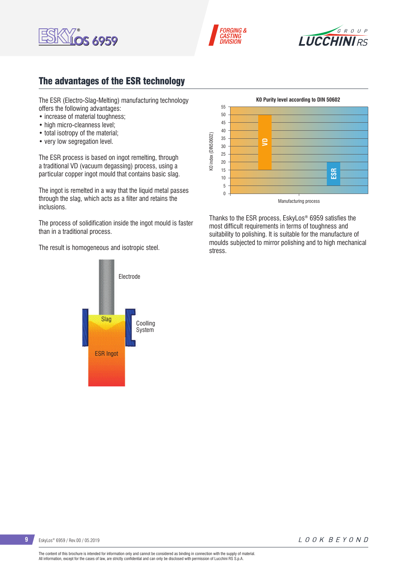





# The advantages of the ESR technology

The ESR (Electro-Slag-Melting) manufacturing technology offers the following advantages:

- increase of material toughness:
- high micro-cleanness level;
- total isotropy of the material;
- very low segregation level.

The ESR process is based on ingot remelting, through a traditional VD (vacuum degassing) process, using a particular copper ingot mould that contains basic slag.

The ingot is remelted in a way that the liquid metal passes through the slag, which acts as a filter and retains the inclusions.

The process of solidification inside the ingot mould is faster than in a traditional process.

The result is homogeneous and isotropic steel.





Thanks to the ESR process, EskyLos® 6959 satisfies the most difficult requirements in terms of toughness and suitability to polishing. It is suitable for the manufacture of moulds subjected to mirror polishing and to high mechanical stress.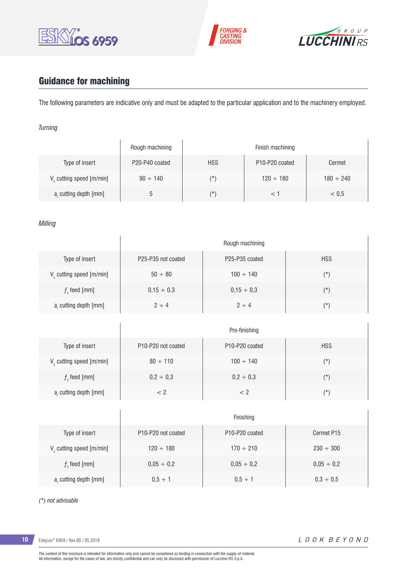





# Guidance for machining

The following parameters are indicative only and must be adapted to the particular application and to the machinery employed.

#### *Turning*

|                                      | Rough machining |            | Finish machining                        |                |
|--------------------------------------|-----------------|------------|-----------------------------------------|----------------|
| Type of insert                       | P20-P40 coated  | <b>HSS</b> | P <sub>10</sub> -P <sub>20</sub> coated | Cermet         |
| V <sub>c</sub> cutting speed [m/min] | $90 \div 140$   | (*)        | $120 \div 180$                          | $180 \div 240$ |
| a, cutting depth [mm]                |                 | (*)        |                                         | < 0.5          |

#### *Milling*

|                                      | Rough machining                             |                                         |            |  |  |  |  |  |  |
|--------------------------------------|---------------------------------------------|-----------------------------------------|------------|--|--|--|--|--|--|
| Type of insert                       | P25-P35 not coated                          | P25-P35 coated                          | <b>HSS</b> |  |  |  |  |  |  |
| V <sub>c</sub> cutting speed [m/min] | $50 \div 80$                                | $100 \div 140$                          | $(*)$      |  |  |  |  |  |  |
| $fz$ feed [mm]                       | $0,15 \div 0,3$                             | $0,15 \div 0,3$                         | $(*)$      |  |  |  |  |  |  |
| a, cutting depth [mm]                | $2 \div 4$                                  | $2 \div 4$                              | $(\star)$  |  |  |  |  |  |  |
|                                      |                                             | Pre-finishing                           |            |  |  |  |  |  |  |
| Type of insert                       | P <sub>10</sub> -P <sub>20</sub> not coated | P <sub>10</sub> -P <sub>20</sub> coated | <b>HSS</b> |  |  |  |  |  |  |
| $V_c$ cutting speed [m/min]          | $80 \div 110$                               | $100 \div 140$                          | $(\star)$  |  |  |  |  |  |  |

|                                      |                                             | Finishing                               |                 |
|--------------------------------------|---------------------------------------------|-----------------------------------------|-----------------|
| Type of insert                       | P <sub>10</sub> -P <sub>20</sub> not coated | P <sub>10</sub> -P <sub>20</sub> coated | Cermet P15      |
| V <sub>c</sub> cutting speed [m/min] | $120 \div 180$                              | $170 \div 210$                          | $230 \div 300$  |
| $fz$ feed [mm]                       | $0,05 \div 0,2$                             | $0,05 \div 0,2$                         | $0,05 \div 0,2$ |
| a, cutting depth [mm]                | $0.5 \div 1$                                | $0.5 \div 1$                            | $0.3 \div 0.5$  |

 $f<sub>2</sub>$  feed [mm]  $0,2 \div 0,3$   $0,2 \div 0,3$  (\*)

a<sub>r</sub> cutting depth [mm]  $\left\vert \vphantom{\frac{a^{1}}{b^{1}}}\right\vert$   $\left\vert \vphantom{\frac{a^{1}}{b^{1}}}\right\vert$   $\left\vert \vphantom{\frac{a^{1}}{b^{1}}}\right\vert$   $\left\vert \vphantom{\frac{a^{1}}{b^{1}}}\right\vert$   $\left\vert \vphantom{\frac{a^{1}}{b^{1}}}\right\vert$   $\left\vert \vphantom{\frac{a^{1}}{b^{1}}}\right\vert$   $\left\vert \vphantom{\frac{a^{1}}{b^{1}}}\right\vert$   $\left\vert \vphant$ 

*(\*) not advisable*

**10** EskyLos® 6959 / Rev.00 / 05.2019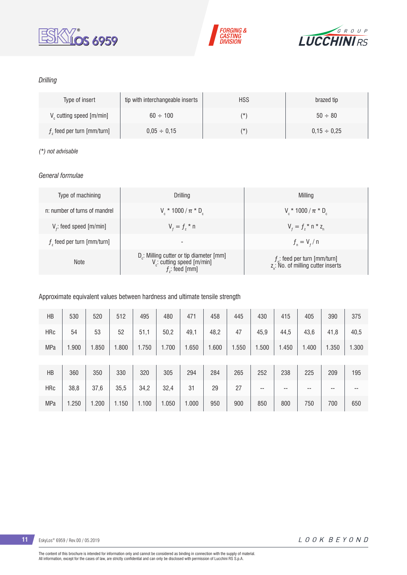





#### *Drilling*

| Type of insert                | tip with interchangeable inserts | <b>HSS</b> | brazed tip       |
|-------------------------------|----------------------------------|------------|------------------|
| $V_c$ cutting speed $[m/min]$ | $60 \div 100$                    | (*         | $50 \div 80$     |
| $fz$ feed per turn [mm/turn]  | $0.05 \div 0.15$                 | (*         | $0.15 \div 0.25$ |

#### *(\*) not advisable*

#### *General formulae*

| Type of machining             | Drilling                                                                                                 | Milling                                                                           |
|-------------------------------|----------------------------------------------------------------------------------------------------------|-----------------------------------------------------------------------------------|
| n: number of turns of mandrel | $V_r * 1000 / \pi * D_r$                                                                                 | $V_r * 1000 / \pi * D_c$                                                          |
| $V_f$ : feed speed [m/min]    | $V_{f} = f_{7}$ * n                                                                                      | $V_{f} = f_{i} * n * z_{n}$                                                       |
| $fz$ feed per turn [mm/turn]  | -                                                                                                        | $f_{n} = V_{f} / n$                                                               |
| <b>Note</b>                   | $D_c$ : Milling cutter or tip diameter [mm]<br>V <sub>c</sub> : cutting speed [m/min]<br>$f$ : feed [mm] | $f_n$ : feed per turn [mm/turn]<br>z <sub>a</sub> : No. of milling cutter inserts |

#### Approximate equivalent values between hardness and ultimate tensile strength

| HB         | 530   | 520   | 512   | 495   | 480   | 471   | 458   | 445   | 430   | 415   | 405   | 390   | 375   |
|------------|-------|-------|-------|-------|-------|-------|-------|-------|-------|-------|-------|-------|-------|
| <b>HRc</b> | 54    | 53    | 52    | 51,1  | 50,2  | 49,1  | 48,2  | 47    | 45,9  | 44,5  | 43,6  | 41,8  | 40,5  |
| <b>MPa</b> | 1.900 | 1.850 | 1.800 | 1.750 | 1.700 | 1.650 | 1.600 | 1.550 | 1.500 | 1.450 | 1.400 | 1.350 | 1.300 |
|            |       |       |       |       |       |       |       |       |       |       |       |       |       |
| HB         | 360   | 350   | 330   | 320   | 305   | 294   | 284   | 265   | 252   | 238   | 225   | 209   | 195   |
| <b>HRc</b> | 38,8  | 37,6  | 35,5  | 34,2  | 32,4  | 31    | 29    | 27    | --    | --    | --    | $- -$ | --    |
| <b>MPa</b> | 1.250 | 1.200 | 1.150 | 1.100 | 1.050 | 1.000 | 950   | 900   | 850   | 800   | 750   | 700   | 650   |